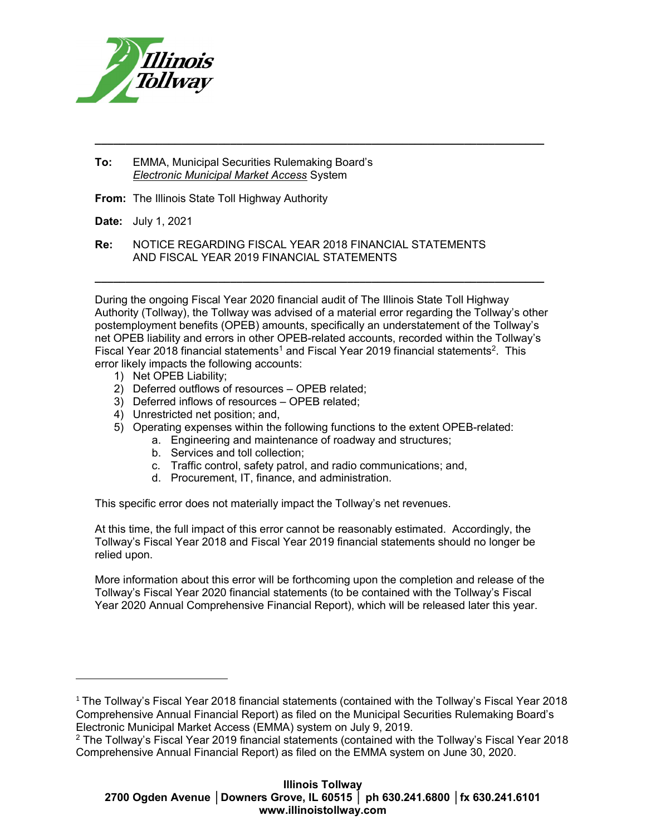

- To: EMMA, Municipal Securities Rulemaking Board's Electronic Municipal Market Access System
- From: The Illinois State Toll Highway Authority

Date: July 1, 2021

Re: NOTICE REGARDING FISCAL YEAR 2018 FINANCIAL STATEMENTS AND FISCAL YEAR 2019 FINANCIAL STATEMENTS

During the ongoing Fiscal Year 2020 financial audit of The Illinois State Toll Highway Authority (Tollway), the Tollway was advised of a material error regarding the Tollway's other postemployment benefits (OPEB) amounts, specifically an understatement of the Tollway's net OPEB liability and errors in other OPEB-related accounts, recorded within the Tollway's Fiscal Year 2018 financial statements<sup>1</sup> and Fiscal Year 2019 financial statements<sup>2</sup>. This error likely impacts the following accounts:

 $\_$  ,  $\_$  ,  $\_$  ,  $\_$  ,  $\_$  ,  $\_$  ,  $\_$  ,  $\_$  ,  $\_$  ,  $\_$  ,  $\_$  ,  $\_$  ,  $\_$  ,  $\_$  ,  $\_$  ,  $\_$  ,  $\_$  ,  $\_$  ,  $\_$ 

\_\_\_\_\_\_\_\_\_\_\_\_\_\_\_\_\_\_\_\_\_\_\_\_\_\_\_\_\_\_\_\_\_\_\_\_\_\_\_\_\_\_\_\_\_\_\_\_\_\_\_\_\_\_\_\_\_\_\_\_\_\_\_\_\_\_\_\_\_\_\_\_\_

1) Net OPEB Liability;

- 2) Deferred outflows of resources OPEB related;
- 3) Deferred inflows of resources OPEB related;
- 4) Unrestricted net position; and,
- 5) Operating expenses within the following functions to the extent OPEB-related:
	- a. Engineering and maintenance of roadway and structures;
	- b. Services and toll collection;
	- c. Traffic control, safety patrol, and radio communications; and,
	- d. Procurement, IT, finance, and administration.

This specific error does not materially impact the Tollway's net revenues.

At this time, the full impact of this error cannot be reasonably estimated. Accordingly, the Tollway's Fiscal Year 2018 and Fiscal Year 2019 financial statements should no longer be relied upon.

More information about this error will be forthcoming upon the completion and release of the Tollway's Fiscal Year 2020 financial statements (to be contained with the Tollway's Fiscal Year 2020 Annual Comprehensive Financial Report), which will be released later this year.

<sup>1</sup> The Tollway's Fiscal Year 2018 financial statements (contained with the Tollway's Fiscal Year 2018 Comprehensive Annual Financial Report) as filed on the Municipal Securities Rulemaking Board's Electronic Municipal Market Access (EMMA) system on July 9, 2019.

<sup>2</sup> The Tollway's Fiscal Year 2019 financial statements (contained with the Tollway's Fiscal Year 2018 Comprehensive Annual Financial Report) as filed on the EMMA system on June 30, 2020.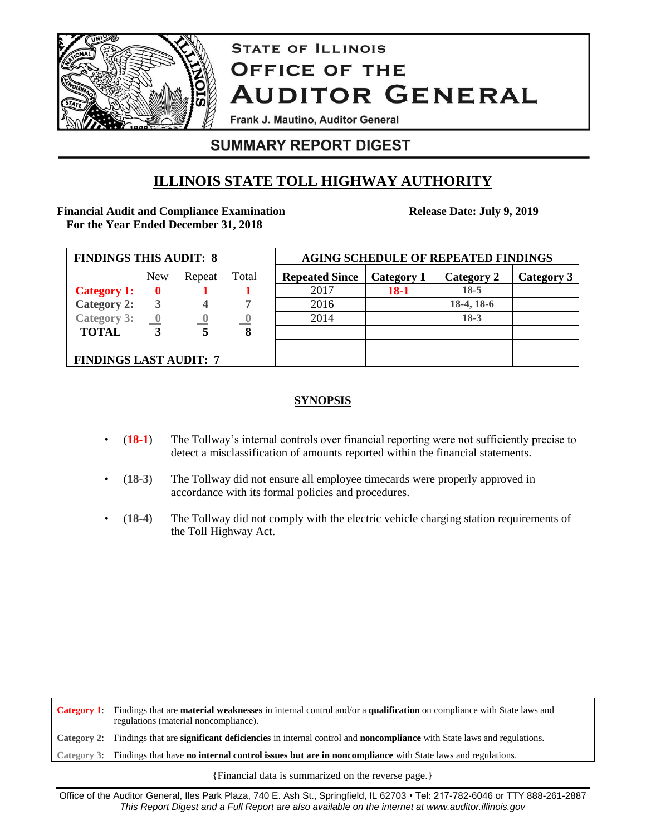

# **STATE OF ILLINOIS OFFICE OF THE AUDITOR GENERAL**

Frank J. Mautino, Auditor General

# **SUMMARY REPORT DIGEST**

# **ILLINOIS STATE TOLL HIGHWAY AUTHORITY**

### **Financial Audit and Compliance Examination For the Year Ended December 31, 2018**

**Release Date: July 9, 2019**

| <b>FINDINGS THIS AUDIT: 8</b> |                         |        |       | <b>AGING SCHEDULE OF REPEATED FINDINGS</b> |            |            |            |
|-------------------------------|-------------------------|--------|-------|--------------------------------------------|------------|------------|------------|
|                               | New                     | Repeat | Total | <b>Repeated Since</b>                      | Category 1 | Category 2 | Category 3 |
| <b>Category 1:</b>            | $\mathbf 0$             |        |       | 2017                                       | $18-1$     | $18-5$     |            |
| <b>Category 2:</b>            | 3                       |        | ⇁     | 2016                                       |            | 18-4, 18-6 |            |
| <b>Category 3:</b>            | $\overline{\mathbf{0}}$ |        |       | 2014                                       |            | $18-3$     |            |
| <b>TOTAL</b>                  |                         | 5      | 8     |                                            |            |            |            |
|                               |                         |        |       |                                            |            |            |            |
| <b>FINDINGS LAST AUDIT: 7</b> |                         |        |       |                                            |            |            |            |

### **SYNOPSIS**

- (**18-1**) The Tollway's internal controls over financial reporting were not sufficiently precise to detect a misclassification of amounts reported within the financial statements.
- (**18-3**) The Tollway did not ensure all employee timecards were properly approved in accordance with its formal policies and procedures.
- (**18-4**) The Tollway did not comply with the electric vehicle charging station requirements of the Toll Highway Act.

**Category 1**: Findings that are **material weaknesses** in internal control and/or a **qualification** on compliance with State laws and regulations (material noncompliance). **Category 2**: Findings that are **significant deficiencies** in internal control and **noncompliance** with State laws and regulations. **Category 3**: Findings that have **no internal control issues but are in noncompliance** with State laws and regulations.

{Financial data is summarized on the reverse page.}

Office of the Auditor General, Iles Park Plaza, 740 E. Ash St., Springfield, IL 62703 • Tel: 217-782-6046 or TTY 888-261-2887 *This Report Digest and a Full Report are also available on the internet at www.auditor.illinois.gov*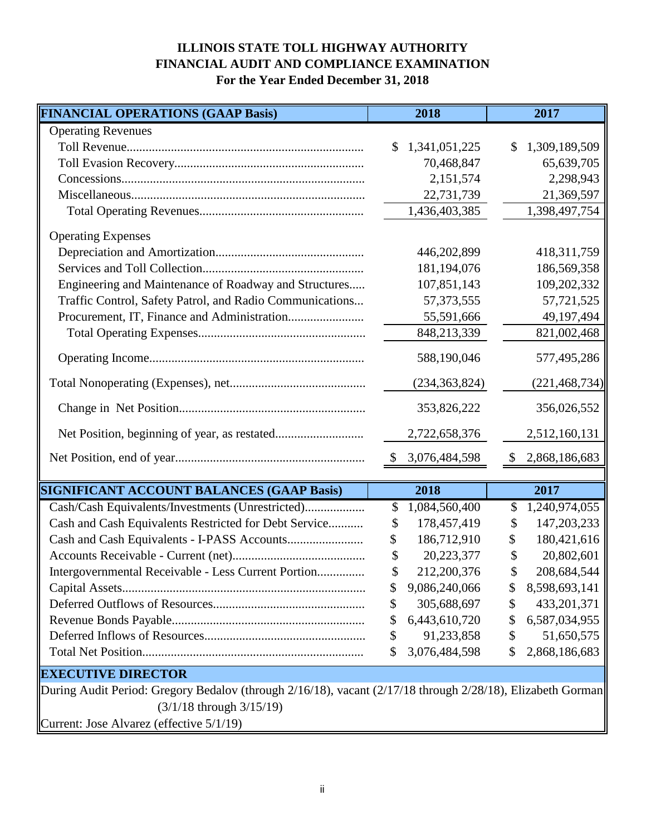## **ILLINOIS STATE TOLL HIGHWAY AUTHORITY FINANCIAL AUDIT AND COMPLIANCE EXAMINATION For the Year Ended December 31, 2018**

| <b>FINANCIAL OPERATIONS (GAAP Basis)</b>                 | 2018                          | 2017                |
|----------------------------------------------------------|-------------------------------|---------------------|
| <b>Operating Revenues</b>                                |                               |                     |
|                                                          | 1,341,051,225<br>$\mathbb{S}$ | 1,309,189,509<br>\$ |
|                                                          | 70,468,847                    | 65,639,705          |
|                                                          | 2,151,574                     | 2,298,943           |
|                                                          | 22,731,739                    | 21,369,597          |
|                                                          | 1,436,403,385                 | 1,398,497,754       |
| <b>Operating Expenses</b>                                |                               |                     |
|                                                          | 446,202,899                   | 418, 311, 759       |
|                                                          | 181,194,076                   | 186,569,358         |
| Engineering and Maintenance of Roadway and Structures    | 107,851,143                   | 109,202,332         |
| Traffic Control, Safety Patrol, and Radio Communications | 57, 373, 555                  | 57,721,525          |
|                                                          | 55,591,666                    | 49,197,494          |
|                                                          | 848,213,339                   | 821,002,468         |
|                                                          | 588,190,046                   | 577,495,286         |
|                                                          | (234, 363, 824)               | (221, 468, 734)     |
|                                                          | 353,826,222                   | 356,026,552         |
|                                                          | 2,722,658,376                 | 2,512,160,131       |
|                                                          | \$ 3,076,484,598              | \$2,868,186,683     |
|                                                          |                               |                     |
| <b>SIGNIFICANT ACCOUNT BALANCES (GAAP Basis)</b>         | 2018                          | 2017                |
| Cash/Cash Equivalents/Investments (Unrestricted)         | 1,084,560,400<br>\$           | 1,240,974,055<br>S  |
| Cash and Cash Equivalents Restricted for Debt Service    | 178,457,419<br>\$             | 147,203,233<br>\$   |
|                                                          | 186,712,910<br>\$             | 180,421,616<br>\$   |
|                                                          | \$<br>20,223,377              | 20,802,601<br>\$    |
| Intergovernmental Receivable - Less Current Portion      | 212,200,376                   | 208,684,544         |
|                                                          | 9,086,240,066<br>\$           | 8,598,693,141<br>\$ |
|                                                          | 305,688,697<br>\$             | 433, 201, 371<br>\$ |
|                                                          | 6,443,610,720<br>\$           | 6,587,034,955<br>\$ |
|                                                          | \$<br>91,233,858              | 51,650,575<br>\$    |
|                                                          | 3,076,484,598<br>\$           | 2,868,186,683<br>\$ |
| <b>EXECUTIVE DIRECTOR</b>                                |                               |                     |

 (3/1/18 through 3/15/19) Current: Jose Alvarez (effective 5/1/19) During Audit Period: Gregory Bedalov (through 2/16/18), vacant (2/17/18 through 2/28/18), Elizabeth Gorman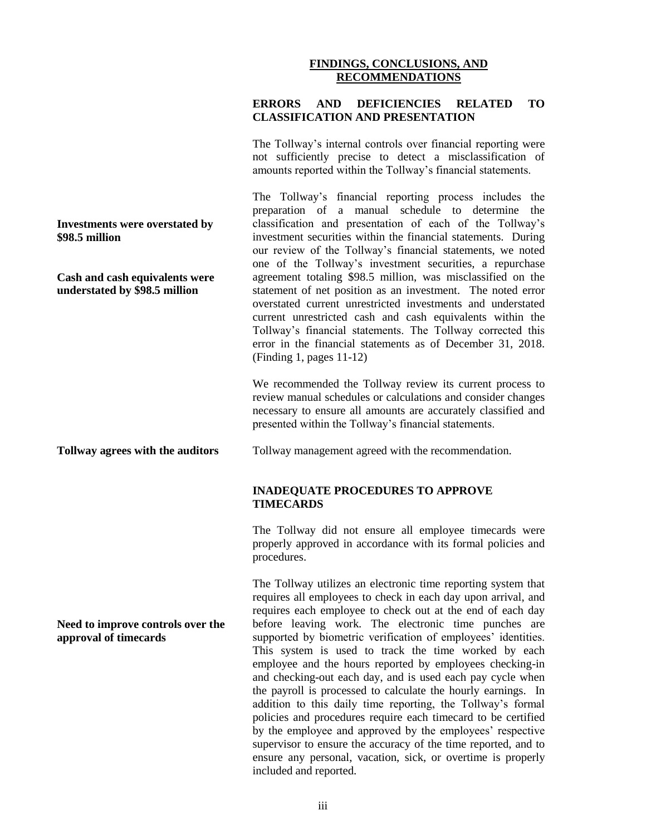#### **FINDINGS, CONCLUSIONS, AND RECOMMENDATIONS**

#### **ERRORS AND DEFICIENCIES RELATED TO CLASSIFICATION AND PRESENTATION**

The Tollway's internal controls over financial reporting were not sufficiently precise to detect a misclassification of amounts reported within the Tollway's financial statements.

The Tollway's financial reporting process includes the preparation of a manual schedule to determine the classification and presentation of each of the Tollway's investment securities within the financial statements. During our review of the Tollway's financial statements, we noted one of the Tollway's investment securities, a repurchase agreement totaling \$98.5 million, was misclassified on the statement of net position as an investment. The noted error overstated current unrestricted investments and understated current unrestricted cash and cash equivalents within the Tollway's financial statements. The Tollway corrected this error in the financial statements as of December 31, 2018. (Finding 1, pages 11-12)

We recommended the Tollway review its current process to review manual schedules or calculations and consider changes necessary to ensure all amounts are accurately classified and presented within the Tollway's financial statements.

**Tollway agrees with the auditors**

**Investments were overstated by** 

**Cash and cash equivalents were understated by \$98.5 million**

**\$98.5 million** 

**Need to improve controls over the approval of timecards**

Tollway management agreed with the recommendation.

#### **INADEQUATE PROCEDURES TO APPROVE TIMECARDS**

The Tollway did not ensure all employee timecards were properly approved in accordance with its formal policies and procedures.

The Tollway utilizes an electronic time reporting system that requires all employees to check in each day upon arrival, and requires each employee to check out at the end of each day before leaving work. The electronic time punches are supported by biometric verification of employees' identities. This system is used to track the time worked by each employee and the hours reported by employees checking-in and checking-out each day, and is used each pay cycle when the payroll is processed to calculate the hourly earnings. In addition to this daily time reporting, the Tollway's formal policies and procedures require each timecard to be certified by the employee and approved by the employees' respective supervisor to ensure the accuracy of the time reported, and to ensure any personal, vacation, sick, or overtime is properly included and reported.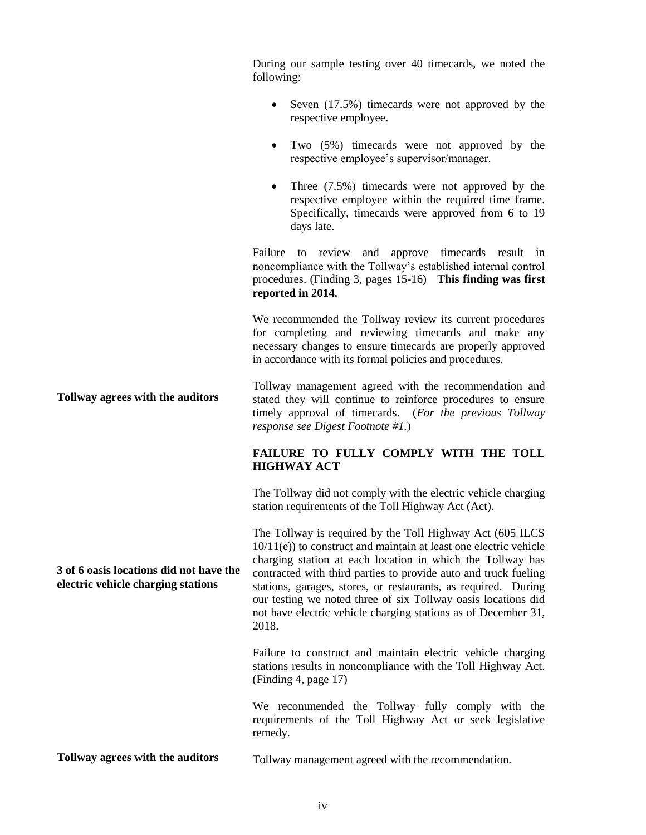During our sample testing over 40 timecards, we noted the following:

- $\bullet$  Seven (17.5%) timecards were not approved by the respective employee.
- Two (5%) timecards were not approved by the respective employee's supervisor/manager.
- Three (7.5%) timecards were not approved by the respective employee within the required time frame. Specifically, timecards were approved from 6 to 19 days late.

Failure to review and approve timecards result in noncompliance with the Tollway's established internal control procedures. (Finding 3, pages 15-16) **This finding was first reported in 2014.**

We recommended the Tollway review its current procedures for completing and reviewing timecards and make any necessary changes to ensure timecards are properly approved in accordance with its formal policies and procedures.

**Tollway agrees with the auditors** Tollway management agreed with the recommendation and stated they will continue to reinforce procedures to ensure timely approval of timecards. (*For the previous Tollway response see Digest Footnote #1.*)

#### **FAILURE TO FULLY COMPLY WITH THE TOLL HIGHWAY ACT**

The Tollway did not comply with the electric vehicle charging station requirements of the Toll Highway Act (Act).

The Tollway is required by the Toll Highway Act (605 ILCS 10/11(e)) to construct and maintain at least one electric vehicle charging station at each location in which the Tollway has contracted with third parties to provide auto and truck fueling stations, garages, stores, or restaurants, as required. During our testing we noted three of six Tollway oasis locations did not have electric vehicle charging stations as of December 31, 2018.

Failure to construct and maintain electric vehicle charging stations results in noncompliance with the Toll Highway Act. (Finding 4, page 17)

We recommended the Tollway fully comply with the requirements of the Toll Highway Act or seek legislative remedy.

**Tollway agrees with the auditors** Tollway management agreed with the recommendation.

**3 of 6 oasis locations did not have the electric vehicle charging stations**